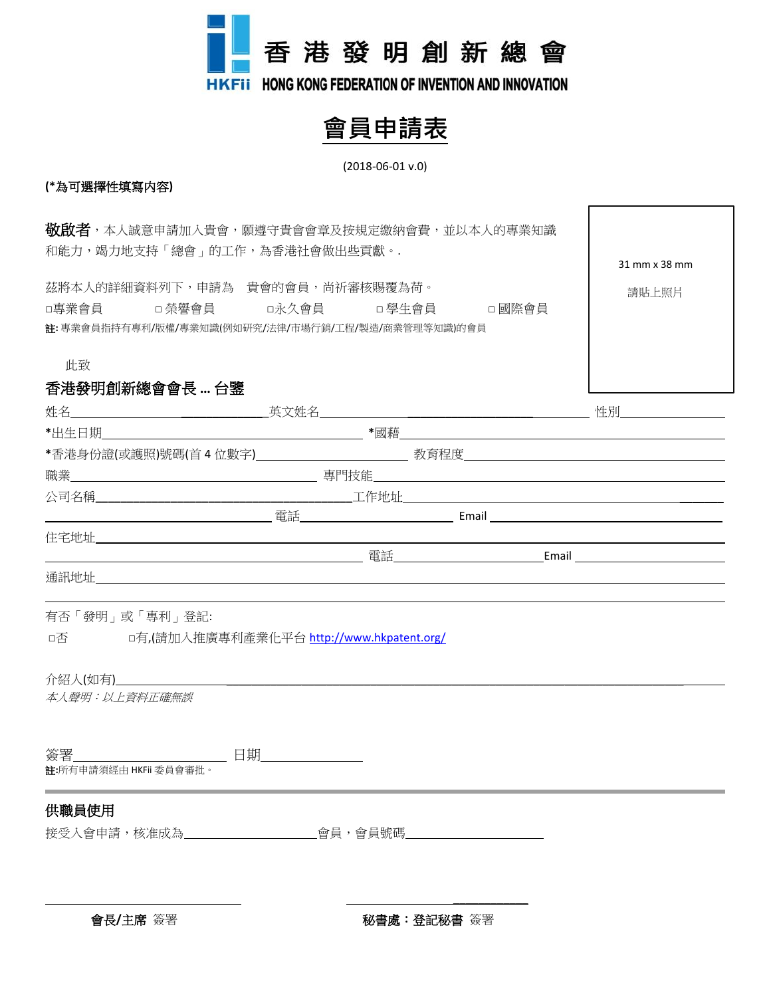

# **會員申請表**

#### (2018-06-01 v.0)

31 mm x 38 mm

請貼上照片

## **(\***為可選擇性填寫内容**)**

**敬啟者,**本人誠意申請加入貴會,願遵守貴會會章及按規定繳納會費,並以本人的專業知識 和能力,竭力地支持「總會」的工作,為香港社會做出些貢獻。.

茲將本人的詳細資料列下,申請為 貴會的會員,尚祈審核賜覆為荷。 □專業會員 □ 榮譽會員 □ 永久會員 □ 學生會員 □ 國際會員 註**:** 專業會員指持有專利/版權/專業知識(例如研究/法律/市場行銷/工程/製造/商業管理等知識)的會員

此致

## 香港發明創新總會會長 **…** 台鑒

|                        | 住宅地址 せいしょう しょうしょう しょうしょう しょうしょう しょうしょう       |  |  |
|------------------------|----------------------------------------------|--|--|
|                        |                                              |  |  |
|                        |                                              |  |  |
| 本人聲明:以上資料正確無誤          | □否 □有,(請加入推廣專利產業化平台 http://www.hkpatent.org/ |  |  |
| 註:所有申請須經由 HKFii 委員會審批。 |                                              |  |  |
| 供職員使用                  | 接受人會申請,核准成為__________會員,會員號碼_________        |  |  |

會長/主席 簽署 **Manager 2017年 11: 12: 12: 12: 12: 秘書處:登記秘書** 簽署

\_\_\_\_\_\_\_\_\_\_\_\_